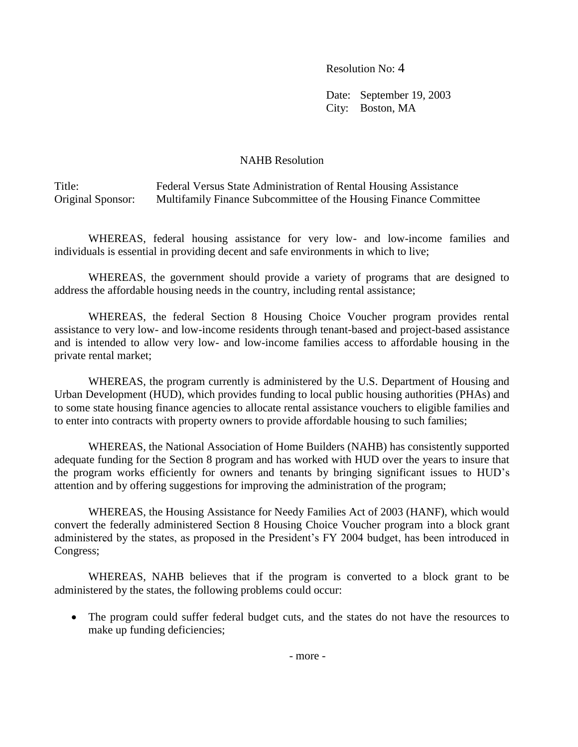Resolution No: 4

Date: September 19, 2003 City: Boston, MA

## NAHB Resolution

Title: Federal Versus State Administration of Rental Housing Assistance Original Sponsor: Multifamily Finance Subcommittee of the Housing Finance Committee

WHEREAS, federal housing assistance for very low- and low-income families and individuals is essential in providing decent and safe environments in which to live;

WHEREAS, the government should provide a variety of programs that are designed to address the affordable housing needs in the country, including rental assistance;

WHEREAS, the federal Section 8 Housing Choice Voucher program provides rental assistance to very low- and low-income residents through tenant-based and project-based assistance and is intended to allow very low- and low-income families access to affordable housing in the private rental market;

WHEREAS, the program currently is administered by the U.S. Department of Housing and Urban Development (HUD), which provides funding to local public housing authorities (PHAs) and to some state housing finance agencies to allocate rental assistance vouchers to eligible families and to enter into contracts with property owners to provide affordable housing to such families;

WHEREAS, the National Association of Home Builders (NAHB) has consistently supported adequate funding for the Section 8 program and has worked with HUD over the years to insure that the program works efficiently for owners and tenants by bringing significant issues to HUD's attention and by offering suggestions for improving the administration of the program;

WHEREAS, the Housing Assistance for Needy Families Act of 2003 (HANF), which would convert the federally administered Section 8 Housing Choice Voucher program into a block grant administered by the states, as proposed in the President's FY 2004 budget, has been introduced in Congress;

WHEREAS, NAHB believes that if the program is converted to a block grant to be administered by the states, the following problems could occur:

• The program could suffer federal budget cuts, and the states do not have the resources to make up funding deficiencies;